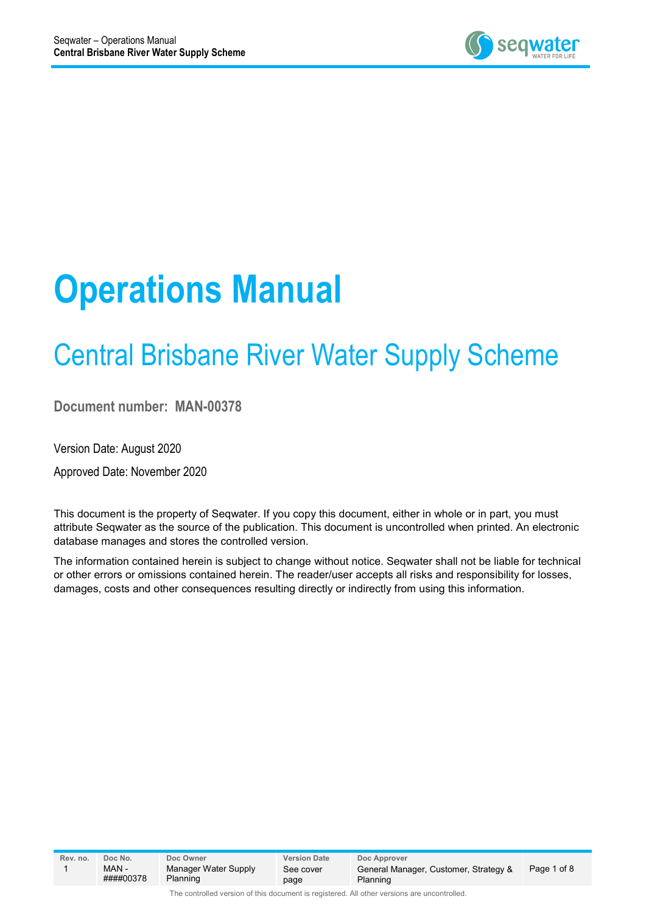

# **Operations Manual**

# Central Brisbane River Water Supply Scheme

**Document number: MAN-00378**

Version Date: August 2020

Approved Date: November 2020

This document is the property of Seqwater. If you copy this document, either in whole or in part, you must attribute Seqwater as the source of the publication. This document is uncontrolled when printed. An electronic database manages and stores the controlled version.

The information contained herein is subject to change without notice. Seqwater shall not be liable for technical or other errors or omissions contained herein. The reader/user accepts all risks and responsibility for losses, damages, costs and other consequences resulting directly or indirectly from using this information.

| Rev. no. | Doc No.            | Doc Owner                        | <b>Version Date</b> | Doc Approver                                      |             |
|----------|--------------------|----------------------------------|---------------------|---------------------------------------------------|-------------|
|          | MAN -<br>####00378 | Manager Water Supply<br>Planning | See cover<br>page   | General Manager, Customer, Strategy &<br>Planning | Page 1 of 8 |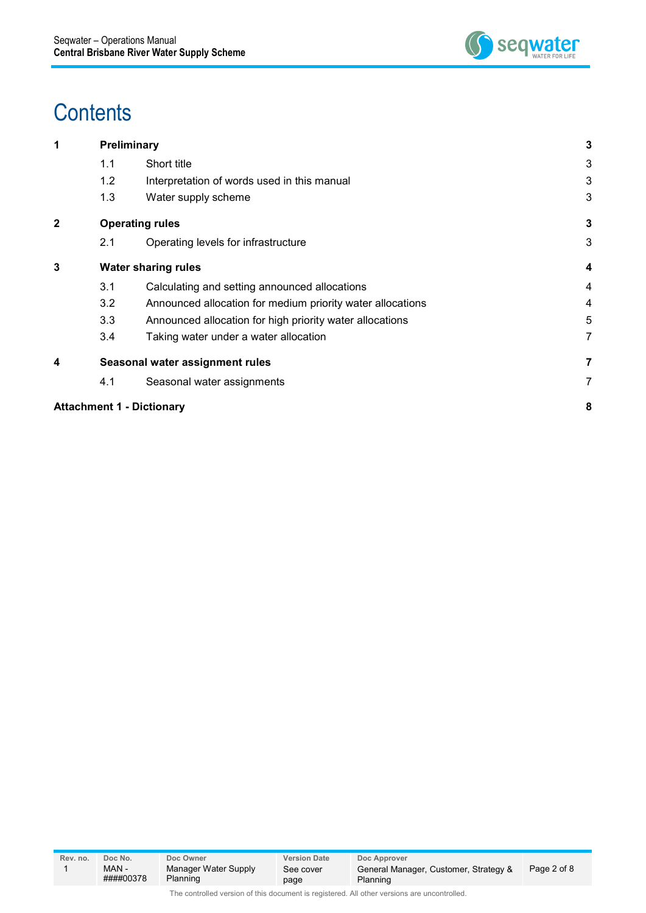

## **Contents**

| 1                       |     | Preliminary                                                | 3 |
|-------------------------|-----|------------------------------------------------------------|---|
|                         | 1.1 | Short title                                                | 3 |
|                         | 1.2 | Interpretation of words used in this manual                | 3 |
|                         | 1.3 | Water supply scheme                                        | 3 |
| $\overline{\mathbf{2}}$ |     | <b>Operating rules</b>                                     | 3 |
|                         | 2.1 | Operating levels for infrastructure                        | 3 |
| 3                       |     | <b>Water sharing rules</b>                                 | 4 |
|                         | 3.1 | Calculating and setting announced allocations              | 4 |
|                         | 3.2 | Announced allocation for medium priority water allocations | 4 |
|                         | 3.3 | Announced allocation for high priority water allocations   | 5 |
|                         | 3.4 | Taking water under a water allocation                      | 7 |
| 4                       |     | Seasonal water assignment rules                            | 7 |
|                         | 4.1 | Seasonal water assignments                                 | 7 |
|                         |     | <b>Attachment 1 - Dictionary</b>                           | 8 |
|                         |     |                                                            |   |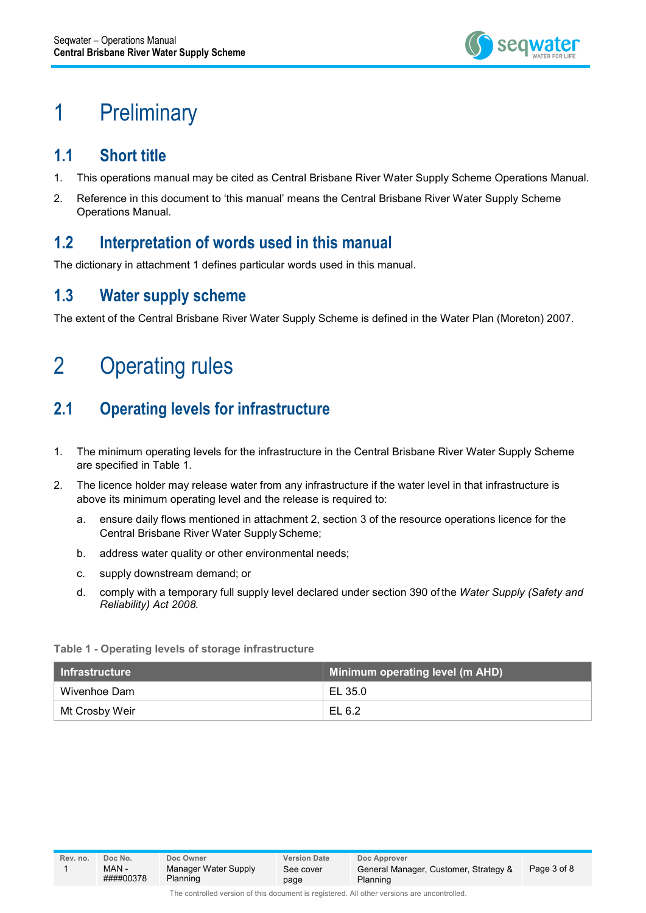

### 1 Preliminary

### **1.1 Short title**

- 1. This operations manual may be cited as Central Brisbane River Water Supply Scheme Operations Manual.
- 2. Reference in this document to 'this manual' means the Central Brisbane River Water Supply Scheme Operations Manual.

#### **1.2 Interpretation of words used in this manual**

The dictionary in attachment 1 defines particular words used in this manual.

### **1.3 Water supply scheme**

The extent of the Central Brisbane River Water Supply Scheme is defined in the Water Plan (Moreton) 2007.

### 2 Operating rules

### **2.1 Operating levels for infrastructure**

- 1. The minimum operating levels for the infrastructure in the Central Brisbane River Water Supply Scheme are specified in Table 1.
- 2. The licence holder may release water from any infrastructure if the water level in that infrastructure is above its minimum operating level and the release is required to:
	- a. ensure daily flows mentioned in attachment 2, section 3 of the resource operations licence for the Central Brisbane River Water Supply Scheme;
	- b. address water quality or other environmental needs;
	- c. supply downstream demand; or
	- d. comply with a temporary full supply level declared under section 390 of the *Water Supply (Safety and Reliability) Act 2008.*

#### **Table 1 - Operating levels of storage infrastructure**

| l Infrastructure <sup>'</sup> | Minimum operating level (m AHD) |
|-------------------------------|---------------------------------|
| Wivenhoe Dam                  | EL 35.0                         |
| Mt Crosby Weir                | EL 6.2                          |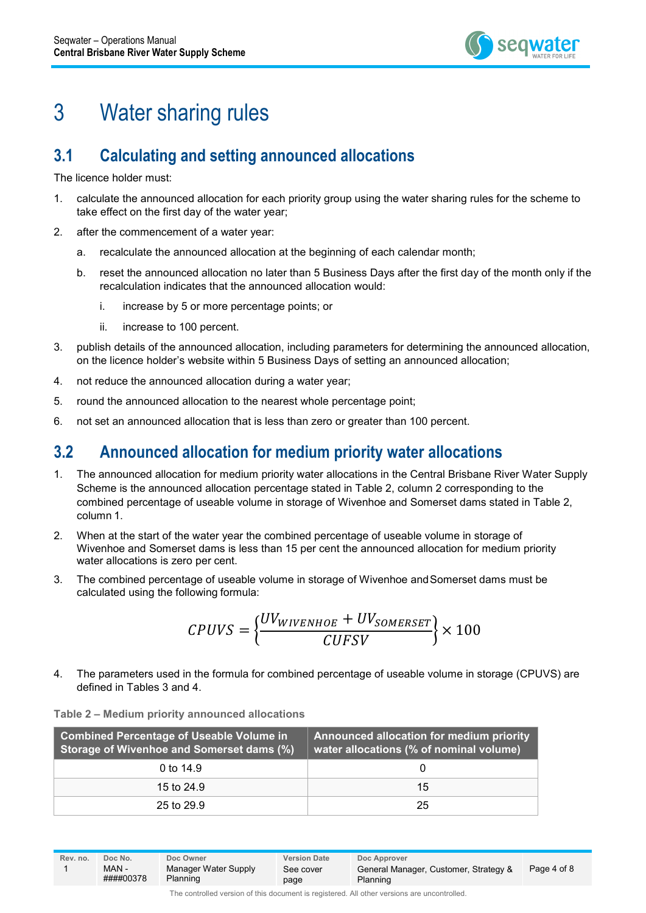

### 3 Water sharing rules

### **3.1 Calculating and setting announced allocations**

The licence holder must:

- 1. calculate the announced allocation for each priority group using the water sharing rules for the scheme to take effect on the first day of the water year;
- 2. after the commencement of a water year:
	- a. recalculate the announced allocation at the beginning of each calendar month;
	- b. reset the announced allocation no later than 5 Business Days after the first day of the month only if the recalculation indicates that the announced allocation would:
		- i. increase by 5 or more percentage points; or
		- ii. increase to 100 percent.
- 3. publish details of the announced allocation, including parameters for determining the announced allocation, on the licence holder's website within 5 Business Days of setting an announced allocation;
- 4. not reduce the announced allocation during a water year;
- 5. round the announced allocation to the nearest whole percentage point;
- 6. not set an announced allocation that is less than zero or greater than 100 percent.

#### **3.2 Announced allocation for medium priority water allocations**

- 1. The announced allocation for medium priority water allocations in the Central Brisbane River Water Supply Scheme is the announced allocation percentage stated in Table 2, column 2 corresponding to the combined percentage of useable volume in storage of Wivenhoe and Somerset dams stated in Table 2, column 1.
- 2. When at the start of the water year the combined percentage of useable volume in storage of Wivenhoe and Somerset dams is less than 15 per cent the announced allocation for medium priority water allocations is zero per cent.
- 3. The combined percentage of useable volume in storage of Wivenhoe andSomerset dams must be calculated using the following formula:

$$
CPUVS = \left\{\frac{UV_{WIVENHOE} + UV_{SOMERSET}}{CUFSV}\right\} \times 100
$$

4. The parameters used in the formula for combined percentage of useable volume in storage (CPUVS) are defined in Tables 3 and 4.

| <b>Combined Percentage of Useable Volume in</b><br>Storage of Wivenhoe and Somerset dams (%) | Announced allocation for medium priority<br>water allocations (% of nominal volume) |  |  |
|----------------------------------------------------------------------------------------------|-------------------------------------------------------------------------------------|--|--|
| 0 to $14.9$                                                                                  |                                                                                     |  |  |
| 15 to 24.9                                                                                   | 15                                                                                  |  |  |
| 25 to 29.9                                                                                   | 25                                                                                  |  |  |

#### **Table 2 – Medium priority announced allocations**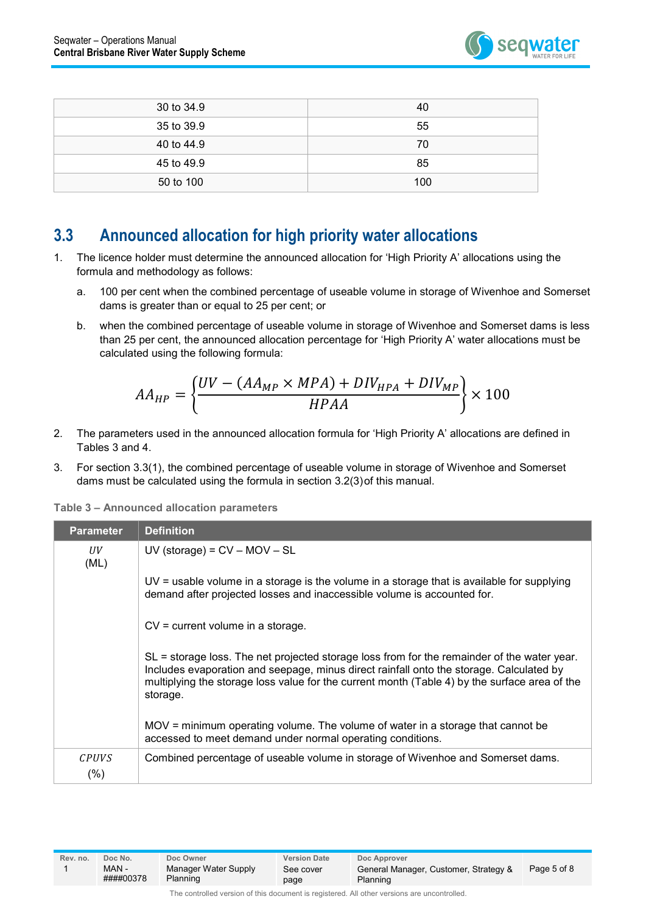

| 30 to 34.9 | 40  |
|------------|-----|
| 35 to 39.9 | 55  |
| 40 to 44.9 | 70  |
| 45 to 49.9 | 85  |
| 50 to 100  | 100 |

#### **3.3 Announced allocation for high priority water allocations**

- 1. The licence holder must determine the announced allocation for 'High Priority A' allocations using the formula and methodology as follows:
	- a. 100 per cent when the combined percentage of useable volume in storage of Wivenhoe and Somerset dams is greater than or equal to 25 per cent; or
	- b. when the combined percentage of useable volume in storage of Wivenhoe and Somerset dams is less than 25 per cent, the announced allocation percentage for 'High Priority A' water allocations must be calculated using the following formula:

$$
AA_{HP} = \left\{ \frac{UV - (AA_{MP} \times MPA) + DIV_{HPA} + DIV_{MP}}{HPAA} \right\} \times 100
$$

- 2. The parameters used in the announced allocation formula for 'High Priority A' allocations are defined in Tables 3 and 4.
- 3. For section 3.3(1), the combined percentage of useable volume in storage of Wivenhoe and Somerset dams must be calculated using the formula in section 3.2(3)of this manual.

**Table 3 – Announced allocation parameters**

| <b>Parameter</b>     | <b>Definition</b>                                                                                                                                                                                                                                                                                     |
|----------------------|-------------------------------------------------------------------------------------------------------------------------------------------------------------------------------------------------------------------------------------------------------------------------------------------------------|
| UV<br>(ML)           | $UV$ (storage) = $CV - MOV - SL$                                                                                                                                                                                                                                                                      |
|                      | UV = usable volume in a storage is the volume in a storage that is available for supplying<br>demand after projected losses and inaccessible volume is accounted for.                                                                                                                                 |
|                      | $CV = current volume$ in a storage.                                                                                                                                                                                                                                                                   |
|                      | $SL =$ storage loss. The net projected storage loss from for the remainder of the water year.<br>Includes evaporation and seepage, minus direct rainfall onto the storage. Calculated by<br>multiplying the storage loss value for the current month (Table 4) by the surface area of the<br>storage. |
|                      | MOV = minimum operating volume. The volume of water in a storage that cannot be<br>accessed to meet demand under normal operating conditions.                                                                                                                                                         |
| <b>CPUVS</b><br>(% ) | Combined percentage of useable volume in storage of Wivenhoe and Somerset dams.                                                                                                                                                                                                                       |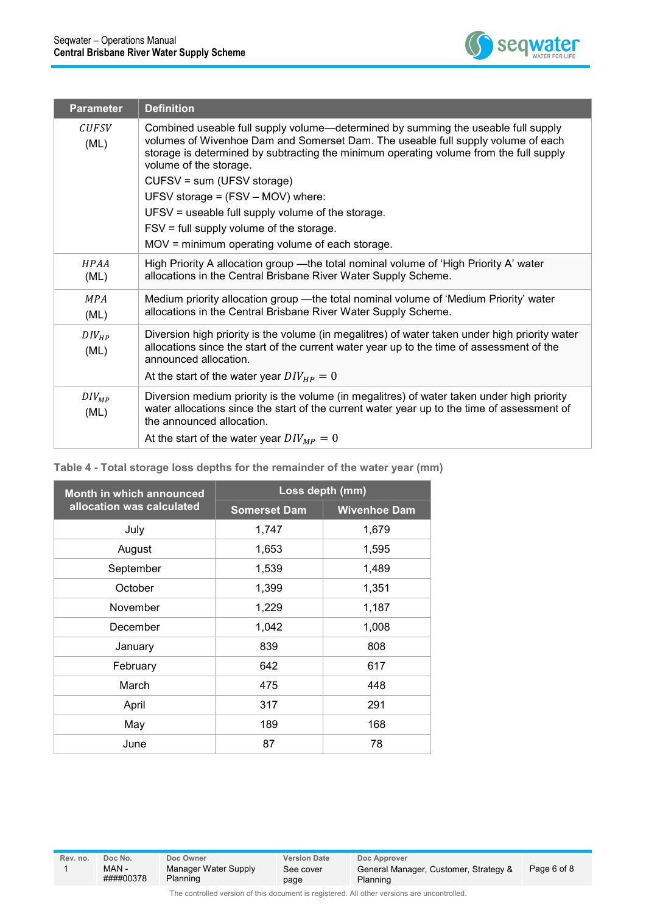

| <b>Parameter</b>     | <b>Definition</b>                                                                                                                                                                                                                                                                                                                                                                                                                                             |
|----------------------|---------------------------------------------------------------------------------------------------------------------------------------------------------------------------------------------------------------------------------------------------------------------------------------------------------------------------------------------------------------------------------------------------------------------------------------------------------------|
| <b>CUFSV</b><br>(ML) | Combined useable full supply volume—determined by summing the useable full supply<br>volumes of Wivenhoe Dam and Somerset Dam. The useable full supply volume of each<br>storage is determined by subtracting the minimum operating volume from the full supply<br>volume of the storage.<br>CUFSV = sum (UFSV storage)<br>UFSV storage = (FSV - MOV) where:<br>UFSV = useable full supply volume of the storage.<br>FSV = full supply volume of the storage. |
|                      | $MOV =$ minimum operating volume of each storage.                                                                                                                                                                                                                                                                                                                                                                                                             |
| <b>HPAA</b><br>(ML)  | High Priority A allocation group - the total nominal volume of 'High Priority A' water<br>allocations in the Central Brisbane River Water Supply Scheme.                                                                                                                                                                                                                                                                                                      |
| <b>MPA</b><br>(ML)   | Medium priority allocation group —the total nominal volume of 'Medium Priority' water<br>allocations in the Central Brisbane River Water Supply Scheme.                                                                                                                                                                                                                                                                                                       |
| $DIV_{HP}$<br>(ML)   | Diversion high priority is the volume (in megalitres) of water taken under high priority water<br>allocations since the start of the current water year up to the time of assessment of the<br>announced allocation.<br>At the start of the water year $DIV_{HP} = 0$                                                                                                                                                                                         |
|                      |                                                                                                                                                                                                                                                                                                                                                                                                                                                               |
| $DIV_{MP}$<br>(ML)   | Diversion medium priority is the volume (in megalitres) of water taken under high priority<br>water allocations since the start of the current water year up to the time of assessment of<br>the announced allocation.                                                                                                                                                                                                                                        |
|                      | At the start of the water year $DIV_{MP} = 0$                                                                                                                                                                                                                                                                                                                                                                                                                 |

**Table 4 - Total storage loss depths for the remainder of the water year (mm)**

| Month in which announced  | Loss depth (mm)     |                     |  |  |
|---------------------------|---------------------|---------------------|--|--|
| allocation was calculated | <b>Somerset Dam</b> | <b>Wivenhoe Dam</b> |  |  |
| July                      | 1,747               | 1,679               |  |  |
| August                    | 1,653               | 1,595               |  |  |
| September                 | 1,539               | 1,489               |  |  |
| October                   | 1,399               | 1,351               |  |  |
| November                  | 1,229               | 1,187               |  |  |
| December                  | 1,042               | 1,008               |  |  |
| January                   | 839                 | 808                 |  |  |
| February                  | 642                 | 617                 |  |  |
| March                     | 475                 | 448                 |  |  |
| April                     | 317                 | 291                 |  |  |
| May                       | 189                 | 168                 |  |  |
| June                      | 87                  | 78                  |  |  |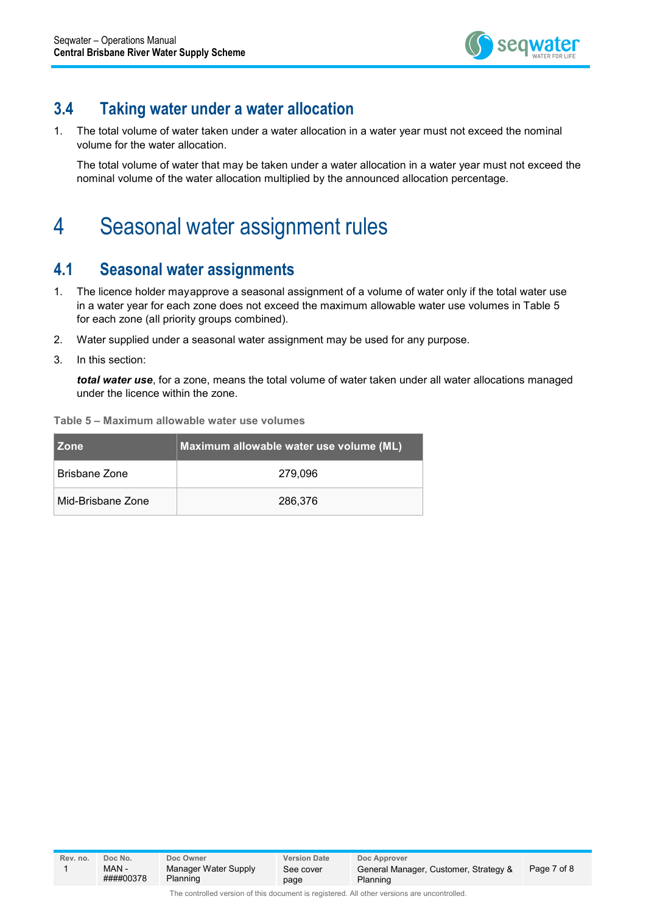

#### **3.4 Taking water under a water allocation**

1. The total volume of water taken under a water allocation in a water year must not exceed the nominal volume for the water allocation.

The total volume of water that may be taken under a water allocation in a water year must not exceed the nominal volume of the water allocation multiplied by the announced allocation percentage.

### 4 Seasonal water assignment rules

#### **4.1 Seasonal water assignments**

- 1. The licence holder mayapprove a seasonal assignment of a volume of water only if the total water use in a water year for each zone does not exceed the maximum allowable water use volumes in Table 5 for each zone (all priority groups combined).
- 2. Water supplied under a seasonal water assignment may be used for any purpose.
- 3. In this section:

*total water use*, for a zone, means the total volume of water taken under all water allocations managed under the licence within the zone.

|  |  | Table 5 - Maximum allowable water use volumes |  |  |  |  |
|--|--|-----------------------------------------------|--|--|--|--|
|--|--|-----------------------------------------------|--|--|--|--|

| l Zone            | Maximum allowable water use volume (ML) |  |  |
|-------------------|-----------------------------------------|--|--|
| Brisbane Zone     | 279.096                                 |  |  |
| Mid-Brisbane Zone | 286,376                                 |  |  |

**Rev. no. Doc No. Doc Owner Version Date Doc Approver** 1 MAN - ####00378 Manager Water Supply Planning See cover page General Manager, Customer, Strategy & Planning Page 7 of 8